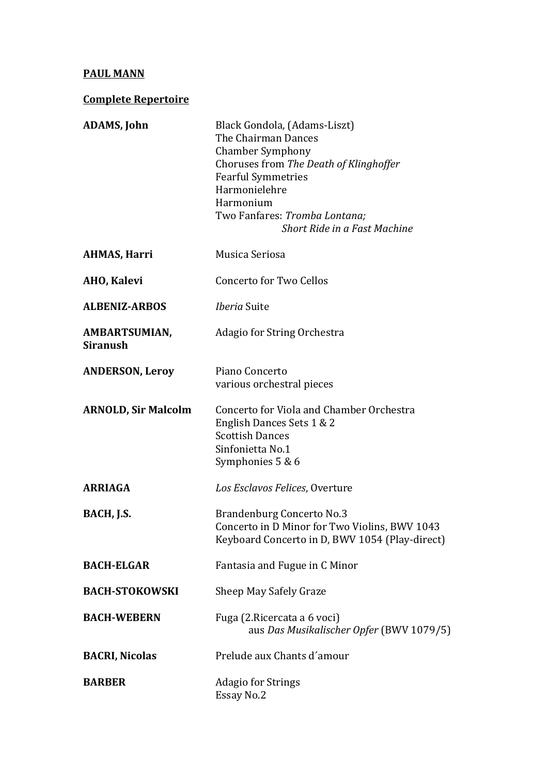## **PAUL MANN**

**Complete Repertoire** 

| <b>ADAMS, John</b>               | Black Gondola, (Adams-Liszt)<br>The Chairman Dances<br><b>Chamber Symphony</b><br>Choruses from The Death of Klinghoffer<br><b>Fearful Symmetries</b><br>Harmonielehre<br>Harmonium<br>Two Fanfares: Tromba Lontana;<br>Short Ride in a Fast Machine |
|----------------------------------|------------------------------------------------------------------------------------------------------------------------------------------------------------------------------------------------------------------------------------------------------|
| AHMAS, Harri                     | Musica Seriosa                                                                                                                                                                                                                                       |
| AHO, Kalevi                      | <b>Concerto for Two Cellos</b>                                                                                                                                                                                                                       |
| <b>ALBENIZ-ARBOS</b>             | <i>Iberia</i> Suite                                                                                                                                                                                                                                  |
| AMBARTSUMIAN,<br><b>Siranush</b> | Adagio for String Orchestra                                                                                                                                                                                                                          |
| <b>ANDERSON, Leroy</b>           | Piano Concerto<br>various orchestral pieces                                                                                                                                                                                                          |
| <b>ARNOLD, Sir Malcolm</b>       | Concerto for Viola and Chamber Orchestra<br>English Dances Sets 1 & 2<br><b>Scottish Dances</b><br>Sinfonietta No.1<br>Symphonies 5 & 6                                                                                                              |
| <b>ARRIAGA</b>                   | Los Esclavos Felices, Overture                                                                                                                                                                                                                       |
| BACH, J.S.                       | <b>Brandenburg Concerto No.3</b><br>Concerto in D Minor for Two Violins, BWV 1043<br>Keyboard Concerto in D, BWV 1054 (Play-direct)                                                                                                                  |
| <b>BACH-ELGAR</b>                | Fantasia and Fugue in C Minor                                                                                                                                                                                                                        |
| <b>BACH-STOKOWSKI</b>            | <b>Sheep May Safely Graze</b>                                                                                                                                                                                                                        |
| <b>BACH-WEBERN</b>               | Fuga (2. Ricercata a 6 voci)<br>aus Das Musikalischer Opfer (BWV 1079/5)                                                                                                                                                                             |
| <b>BACRI, Nicolas</b>            | Prelude aux Chants d'amour                                                                                                                                                                                                                           |
| <b>BARBER</b>                    | <b>Adagio for Strings</b><br>Essay No.2                                                                                                                                                                                                              |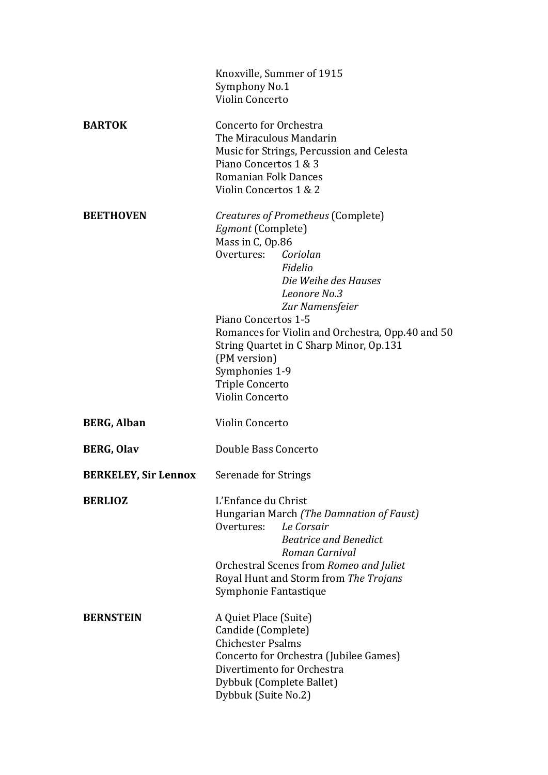|                             | Knoxville, Summer of 1915                                                        |
|-----------------------------|----------------------------------------------------------------------------------|
|                             | Symphony No.1                                                                    |
|                             | Violin Concerto                                                                  |
| <b>BARTOK</b>               | Concerto for Orchestra                                                           |
|                             | The Miraculous Mandarin                                                          |
|                             | Music for Strings, Percussion and Celesta                                        |
|                             | Piano Concertos 1 & 3                                                            |
|                             | <b>Romanian Folk Dances</b>                                                      |
|                             | Violin Concertos 1 & 2                                                           |
| <b>BEETHOVEN</b>            | Creatures of Prometheus (Complete)                                               |
|                             | Egmont (Complete)                                                                |
|                             | Mass in C, Op.86                                                                 |
|                             | Overtures: Coriolan                                                              |
|                             | Fidelio                                                                          |
|                             | Die Weihe des Hauses<br>Leonore No.3                                             |
|                             | Zur Namensfeier                                                                  |
|                             | Piano Concertos 1-5                                                              |
|                             | Romances for Violin and Orchestra, Opp.40 and 50                                 |
|                             | String Quartet in C Sharp Minor, Op.131                                          |
|                             | (PM version)                                                                     |
|                             | Symphonies 1-9                                                                   |
|                             | <b>Triple Concerto</b>                                                           |
|                             | Violin Concerto                                                                  |
| <b>BERG, Alban</b>          | Violin Concerto                                                                  |
| <b>BERG, Olav</b>           | Double Bass Concerto                                                             |
| <b>BERKELEY, Sir Lennox</b> | Serenade for Strings                                                             |
| <b>BERLIOZ</b>              | L'Enfance du Christ                                                              |
|                             | Hungarian March (The Damnation of Faust)                                         |
|                             | Le Corsair<br>Overtures:                                                         |
|                             | <b>Beatrice and Benedict</b>                                                     |
|                             | Roman Carnival                                                                   |
|                             | Orchestral Scenes from Romeo and Juliet<br>Royal Hunt and Storm from The Trojans |
|                             | Symphonie Fantastique                                                            |
| <b>BERNSTEIN</b>            | A Quiet Place (Suite)                                                            |
|                             | Candide (Complete)                                                               |
|                             | <b>Chichester Psalms</b>                                                         |
|                             | Concerto for Orchestra (Jubilee Games)                                           |
|                             | Divertimento for Orchestra                                                       |
|                             | Dybbuk (Complete Ballet)                                                         |
|                             | Dybbuk (Suite No.2)                                                              |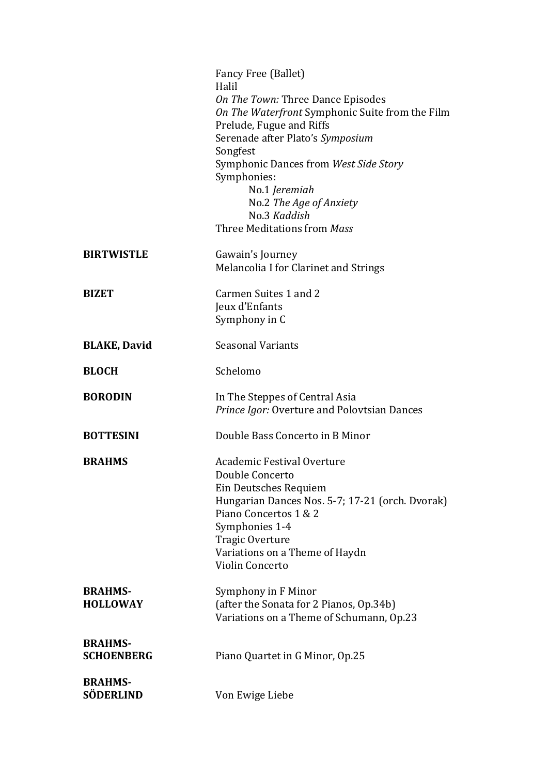|                                    | Fancy Free (Ballet)<br>Halil                                                |
|------------------------------------|-----------------------------------------------------------------------------|
|                                    | On The Town: Three Dance Episodes                                           |
|                                    | On The Waterfront Symphonic Suite from the Film<br>Prelude, Fugue and Riffs |
|                                    | Serenade after Plato's Symposium                                            |
|                                    | Songfest                                                                    |
|                                    | Symphonic Dances from West Side Story<br>Symphonies:                        |
|                                    | No.1 Jeremiah                                                               |
|                                    | No.2 The Age of Anxiety<br>No.3 Kaddish                                     |
|                                    | Three Meditations from Mass                                                 |
| <b>BIRTWISTLE</b>                  | Gawain's Journey                                                            |
|                                    | Melancolia I for Clarinet and Strings                                       |
| <b>BIZET</b>                       | Carmen Suites 1 and 2                                                       |
|                                    | Jeux d'Enfants                                                              |
|                                    | Symphony in C                                                               |
| <b>BLAKE, David</b>                | <b>Seasonal Variants</b>                                                    |
| <b>BLOCH</b>                       | Schelomo                                                                    |
|                                    |                                                                             |
| <b>BORODIN</b>                     | In The Steppes of Central Asia                                              |
|                                    | Prince Igor: Overture and Polovtsian Dances                                 |
| <b>BOTTESINI</b>                   | Double Bass Concerto in B Minor                                             |
| <b>BRAHMS</b>                      | <b>Academic Festival Overture</b>                                           |
|                                    | Double Concerto                                                             |
|                                    | Ein Deutsches Requiem<br>Hungarian Dances Nos. 5-7; 17-21 (orch. Dvorak)    |
|                                    | Piano Concertos 1 & 2                                                       |
|                                    | Symphonies 1-4                                                              |
|                                    | <b>Tragic Overture</b><br>Variations on a Theme of Haydn                    |
|                                    | Violin Concerto                                                             |
| <b>BRAHMS-</b>                     | Symphony in F Minor                                                         |
| <b>HOLLOWAY</b>                    | (after the Sonata for 2 Pianos, Op.34b)                                     |
|                                    | Variations on a Theme of Schumann, Op.23                                    |
| <b>BRAHMS-</b>                     |                                                                             |
| <b>SCHOENBERG</b>                  | Piano Quartet in G Minor, Op.25                                             |
| <b>BRAHMS-</b><br><b>SÖDERLIND</b> | Von Ewige Liebe                                                             |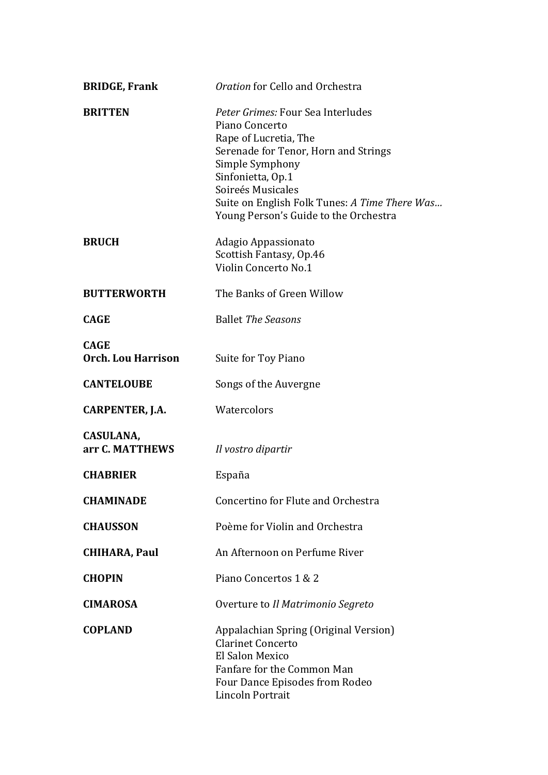| <b>BRIDGE, Frank</b>                     | Oration for Cello and Orchestra                                                                                                                                                                                                                                             |
|------------------------------------------|-----------------------------------------------------------------------------------------------------------------------------------------------------------------------------------------------------------------------------------------------------------------------------|
| <b>BRITTEN</b>                           | Peter Grimes: Four Sea Interludes<br>Piano Concerto<br>Rape of Lucretia, The<br>Serenade for Tenor, Horn and Strings<br>Simple Symphony<br>Sinfonietta, Op.1<br>Soireés Musicales<br>Suite on English Folk Tunes: A Time There Was<br>Young Person's Guide to the Orchestra |
| <b>BRUCH</b>                             | Adagio Appassionato<br>Scottish Fantasy, Op.46<br>Violin Concerto No.1                                                                                                                                                                                                      |
| <b>BUTTERWORTH</b>                       | The Banks of Green Willow                                                                                                                                                                                                                                                   |
| <b>CAGE</b>                              | <b>Ballet The Seasons</b>                                                                                                                                                                                                                                                   |
| <b>CAGE</b><br><b>Orch. Lou Harrison</b> | Suite for Toy Piano                                                                                                                                                                                                                                                         |
| <b>CANTELOUBE</b>                        | Songs of the Auvergne                                                                                                                                                                                                                                                       |
| CARPENTER, J.A.                          | Watercolors                                                                                                                                                                                                                                                                 |
| CASULANA,<br>arr C. MATTHEWS             | Il vostro dipartir                                                                                                                                                                                                                                                          |
| <b>CHABRIER</b>                          | España                                                                                                                                                                                                                                                                      |
| <b>CHAMINADE</b>                         | Concertino for Flute and Orchestra                                                                                                                                                                                                                                          |
| <b>CHAUSSON</b>                          | Poème for Violin and Orchestra                                                                                                                                                                                                                                              |
| <b>CHIHARA, Paul</b>                     | An Afternoon on Perfume River                                                                                                                                                                                                                                               |
| <b>CHOPIN</b>                            | Piano Concertos 1 & 2                                                                                                                                                                                                                                                       |
| <b>CIMAROSA</b>                          | Overture to Il Matrimonio Segreto                                                                                                                                                                                                                                           |
| <b>COPLAND</b>                           | Appalachian Spring (Original Version)<br><b>Clarinet Concerto</b><br>El Salon Mexico<br>Fanfare for the Common Man<br>Four Dance Episodes from Rodeo<br>Lincoln Portrait                                                                                                    |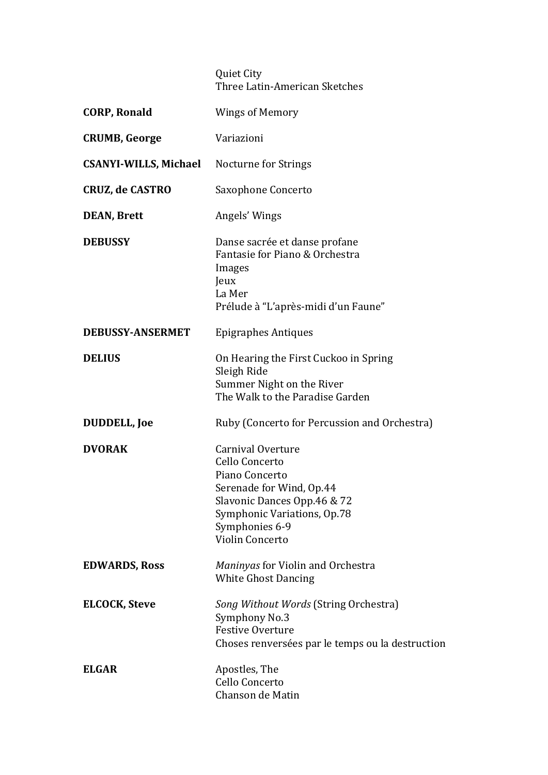## Quiet City Three Latin-American Sketches

| <b>CORP, Ronald</b>          | <b>Wings of Memory</b>                                                                                                                                                               |
|------------------------------|--------------------------------------------------------------------------------------------------------------------------------------------------------------------------------------|
| <b>CRUMB, George</b>         | Variazioni                                                                                                                                                                           |
| <b>CSANYI-WILLS, Michael</b> | <b>Nocturne for Strings</b>                                                                                                                                                          |
| <b>CRUZ, de CASTRO</b>       | Saxophone Concerto                                                                                                                                                                   |
| <b>DEAN, Brett</b>           | Angels' Wings                                                                                                                                                                        |
| <b>DEBUSSY</b>               | Danse sacrée et danse profane<br>Fantasie for Piano & Orchestra<br>Images<br>Jeux<br>La Mer<br>Prélude à "L'après-midi d'un Faune"                                                   |
| <b>DEBUSSY-ANSERMET</b>      | <b>Epigraphes Antiques</b>                                                                                                                                                           |
| <b>DELIUS</b>                | On Hearing the First Cuckoo in Spring<br>Sleigh Ride<br>Summer Night on the River<br>The Walk to the Paradise Garden                                                                 |
| <b>DUDDELL, Joe</b>          | Ruby (Concerto for Percussion and Orchestra)                                                                                                                                         |
| <b>DVORAK</b>                | Carnival Overture<br>Cello Concerto<br>Piano Concerto<br>Serenade for Wind, Op.44<br>Slavonic Dances Opp.46 & 72<br>Symphonic Variations, Op.78<br>Symphonies 6-9<br>Violin Concerto |
| <b>EDWARDS, Ross</b>         | Maninyas for Violin and Orchestra<br><b>White Ghost Dancing</b>                                                                                                                      |
| <b>ELCOCK, Steve</b>         | Song Without Words (String Orchestra)<br>Symphony No.3<br><b>Festive Overture</b><br>Choses renversées par le temps ou la destruction                                                |
| <b>ELGAR</b>                 | Apostles, The<br>Cello Concerto<br>Chanson de Matin                                                                                                                                  |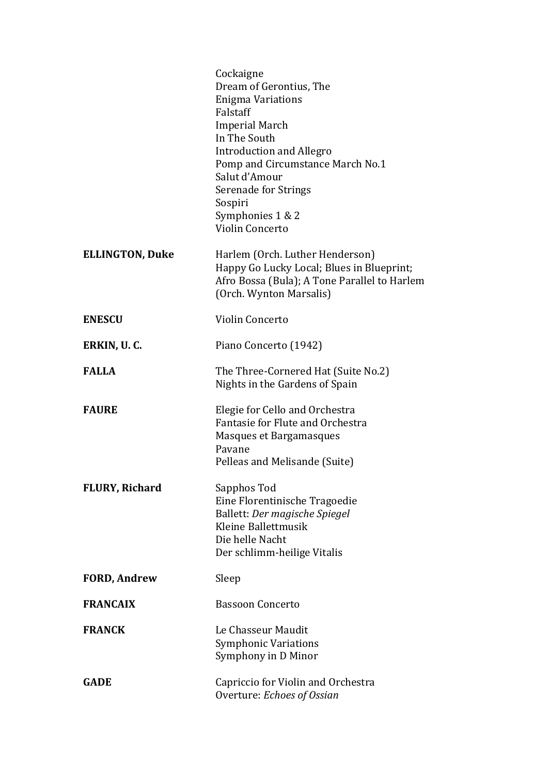|                        | Cockaigne<br>Dream of Gerontius, The<br><b>Enigma Variations</b><br>Falstaff<br><b>Imperial March</b><br>In The South<br><b>Introduction and Allegro</b><br>Pomp and Circumstance March No.1<br>Salut d'Amour<br>Serenade for Strings<br>Sospiri<br>Symphonies 1 & 2<br><b>Violin Concerto</b> |
|------------------------|------------------------------------------------------------------------------------------------------------------------------------------------------------------------------------------------------------------------------------------------------------------------------------------------|
| <b>ELLINGTON, Duke</b> | Harlem (Orch. Luther Henderson)<br>Happy Go Lucky Local; Blues in Blueprint;<br>Afro Bossa (Bula); A Tone Parallel to Harlem<br>(Orch. Wynton Marsalis)                                                                                                                                        |
| <b>ENESCU</b>          | Violin Concerto                                                                                                                                                                                                                                                                                |
| ERKIN, U. C.           | Piano Concerto (1942)                                                                                                                                                                                                                                                                          |
| <b>FALLA</b>           | The Three-Cornered Hat (Suite No.2)<br>Nights in the Gardens of Spain                                                                                                                                                                                                                          |
| <b>FAURE</b>           | Elegie for Cello and Orchestra<br>Fantasie for Flute and Orchestra<br>Masques et Bargamasques<br>Pavane<br>Pelleas and Melisande (Suite)                                                                                                                                                       |
| <b>FLURY, Richard</b>  | Sapphos Tod<br>Eine Florentinische Tragoedie<br>Ballett: Der magische Spiegel<br>Kleine Ballettmusik<br>Die helle Nacht<br>Der schlimm-heilige Vitalis                                                                                                                                         |
| <b>FORD, Andrew</b>    | Sleep                                                                                                                                                                                                                                                                                          |
| <b>FRANCAIX</b>        | <b>Bassoon Concerto</b>                                                                                                                                                                                                                                                                        |
| <b>FRANCK</b>          | Le Chasseur Maudit<br><b>Symphonic Variations</b><br>Symphony in D Minor                                                                                                                                                                                                                       |
| <b>GADE</b>            | Capriccio for Violin and Orchestra<br>Overture: Echoes of Ossian                                                                                                                                                                                                                               |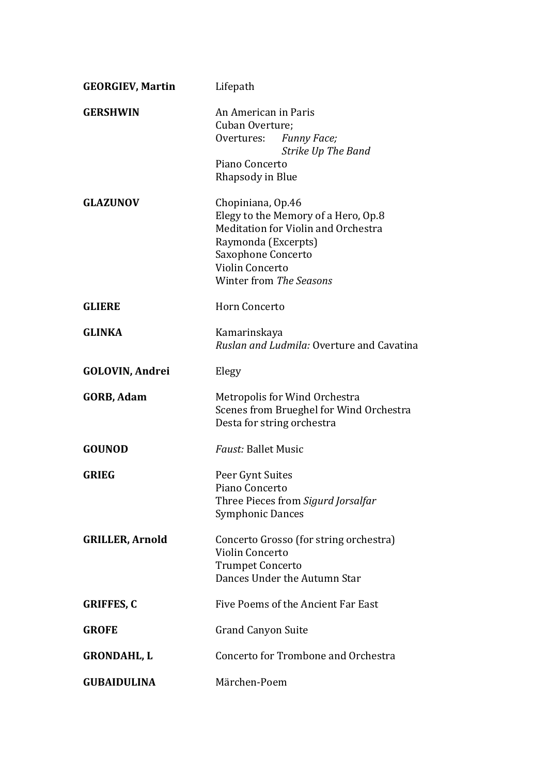| <b>GEORGIEV, Martin</b> | Lifepath                                                                                                                                                                                   |
|-------------------------|--------------------------------------------------------------------------------------------------------------------------------------------------------------------------------------------|
| <b>GERSHWIN</b>         | An American in Paris<br>Cuban Overture;<br>Overtures:<br><b>Funny Face;</b><br>Strike Up The Band<br>Piano Concerto<br>Rhapsody in Blue                                                    |
| <b>GLAZUNOV</b>         | Chopiniana, Op.46<br>Elegy to the Memory of a Hero, Op.8<br>Meditation for Violin and Orchestra<br>Raymonda (Excerpts)<br>Saxophone Concerto<br>Violin Concerto<br>Winter from The Seasons |
| <b>GLIERE</b>           | <b>Horn Concerto</b>                                                                                                                                                                       |
| <b>GLINKA</b>           | Kamarinskaya<br>Ruslan and Ludmila: Overture and Cavatina                                                                                                                                  |
| <b>GOLOVIN, Andrei</b>  | Elegy                                                                                                                                                                                      |
| <b>GORB, Adam</b>       | Metropolis for Wind Orchestra<br>Scenes from Brueghel for Wind Orchestra<br>Desta for string orchestra                                                                                     |
| <b>GOUNOD</b>           | <b>Faust: Ballet Music</b>                                                                                                                                                                 |
| <b>GRIEG</b>            | Peer Gynt Suites<br>Piano Concerto<br>Three Pieces from Sigurd Jorsalfar<br><b>Symphonic Dances</b>                                                                                        |
| <b>GRILLER, Arnold</b>  | Concerto Grosso (for string orchestra)<br>Violin Concerto<br><b>Trumpet Concerto</b><br>Dances Under the Autumn Star                                                                       |
| <b>GRIFFES, C</b>       | Five Poems of the Ancient Far East                                                                                                                                                         |
| <b>GROFE</b>            | <b>Grand Canyon Suite</b>                                                                                                                                                                  |
| <b>GRONDAHL, L</b>      | Concerto for Trombone and Orchestra                                                                                                                                                        |
| <b>GUBAIDULINA</b>      | Märchen-Poem                                                                                                                                                                               |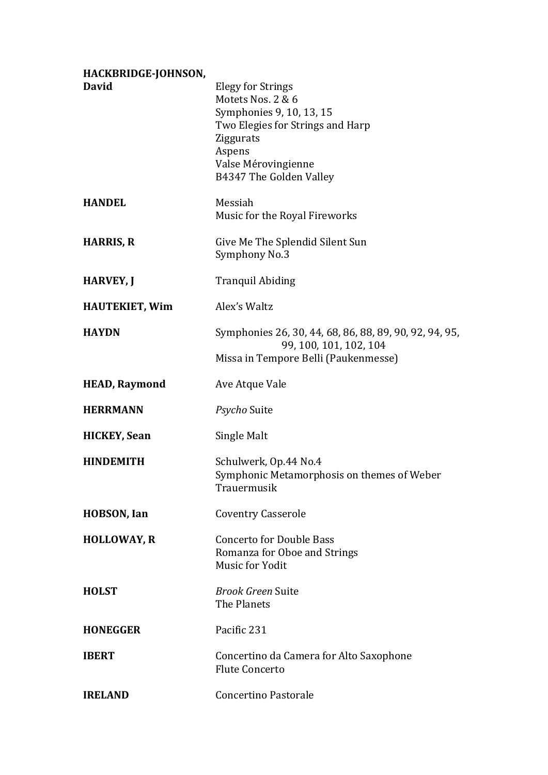| HACKBRIDGE-JOHNSON,   |                                                                                                                                                                                               |
|-----------------------|-----------------------------------------------------------------------------------------------------------------------------------------------------------------------------------------------|
| <b>David</b>          | <b>Elegy for Strings</b><br>Motets Nos. 2 & 6<br>Symphonies 9, 10, 13, 15<br>Two Elegies for Strings and Harp<br><b>Ziggurats</b><br>Aspens<br>Valse Mérovingienne<br>B4347 The Golden Valley |
| <b>HANDEL</b>         | Messiah<br>Music for the Royal Fireworks                                                                                                                                                      |
| <b>HARRIS, R</b>      | Give Me The Splendid Silent Sun<br>Symphony No.3                                                                                                                                              |
| <b>HARVEY, J</b>      | <b>Tranquil Abiding</b>                                                                                                                                                                       |
| <b>HAUTEKIET, Wim</b> | Alex's Waltz                                                                                                                                                                                  |
| <b>HAYDN</b>          | Symphonies 26, 30, 44, 68, 86, 88, 89, 90, 92, 94, 95,<br>99, 100, 101, 102, 104<br>Missa in Tempore Belli (Paukenmesse)                                                                      |
| <b>HEAD, Raymond</b>  | Ave Atque Vale                                                                                                                                                                                |
| <b>HERRMANN</b>       | <i>Psycho</i> Suite                                                                                                                                                                           |
| <b>HICKEY, Sean</b>   | Single Malt                                                                                                                                                                                   |
| <b>HINDEMITH</b>      | Schulwerk, Op.44 No.4<br>Symphonic Metamorphosis on themes of Weber<br>Trauermusik                                                                                                            |
| <b>HOBSON, Ian</b>    | <b>Coventry Casserole</b>                                                                                                                                                                     |
| <b>HOLLOWAY, R</b>    | <b>Concerto for Double Bass</b><br>Romanza for Oboe and Strings<br><b>Music for Yodit</b>                                                                                                     |
| <b>HOLST</b>          | <b>Brook Green Suite</b><br>The Planets                                                                                                                                                       |
| <b>HONEGGER</b>       | Pacific 231                                                                                                                                                                                   |
| <b>IBERT</b>          | Concertino da Camera for Alto Saxophone<br><b>Flute Concerto</b>                                                                                                                              |
| <b>IRELAND</b>        | <b>Concertino Pastorale</b>                                                                                                                                                                   |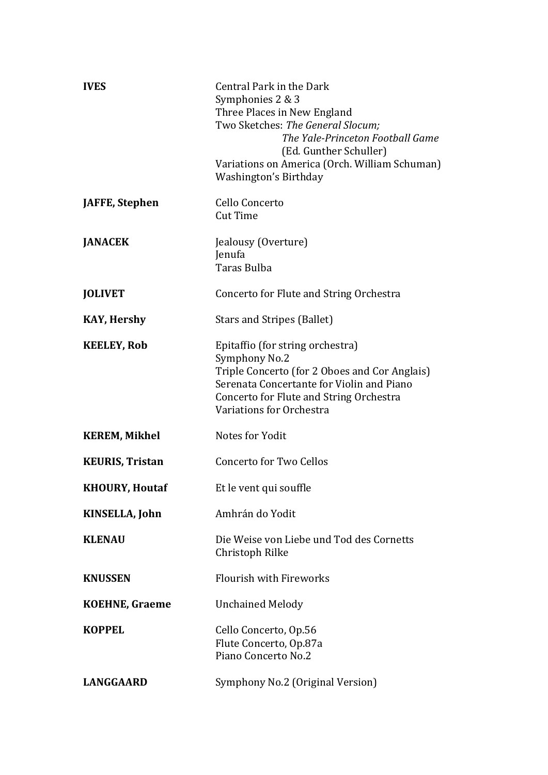| <b>IVES</b>            | Central Park in the Dark<br>Symphonies 2 & 3<br>Three Places in New England<br>Two Sketches: The General Slocum;<br>The Yale-Princeton Football Game<br>(Ed. Gunther Schuller)<br>Variations on America (Orch. William Schuman)<br>Washington's Birthday |
|------------------------|----------------------------------------------------------------------------------------------------------------------------------------------------------------------------------------------------------------------------------------------------------|
| JAFFE, Stephen         | Cello Concerto<br><b>Cut Time</b>                                                                                                                                                                                                                        |
| <b>JANACEK</b>         | Jealousy (Overture)<br>Jenufa<br>Taras Bulba                                                                                                                                                                                                             |
| <b>JOLIVET</b>         | Concerto for Flute and String Orchestra                                                                                                                                                                                                                  |
| <b>KAY, Hershy</b>     | <b>Stars and Stripes (Ballet)</b>                                                                                                                                                                                                                        |
| <b>KEELEY, Rob</b>     | Epitaffio (for string orchestra)<br>Symphony No.2<br>Triple Concerto (for 2 Oboes and Cor Anglais)<br>Serenata Concertante for Violin and Piano<br>Concerto for Flute and String Orchestra<br>Variations for Orchestra                                   |
| <b>KEREM, Mikhel</b>   | Notes for Yodit                                                                                                                                                                                                                                          |
| <b>KEURIS, Tristan</b> | <b>Concerto for Two Cellos</b>                                                                                                                                                                                                                           |
| <b>KHOURY, Houtaf</b>  | Et le vent qui souffle                                                                                                                                                                                                                                   |
| KINSELLA, John         | Amhrán do Yodit                                                                                                                                                                                                                                          |
| <b>KLENAU</b>          | Die Weise von Liebe und Tod des Cornetts<br>Christoph Rilke                                                                                                                                                                                              |
| <b>KNUSSEN</b>         | <b>Flourish with Fireworks</b>                                                                                                                                                                                                                           |
| <b>KOEHNE, Graeme</b>  | <b>Unchained Melody</b>                                                                                                                                                                                                                                  |
| <b>KOPPEL</b>          | Cello Concerto, Op.56<br>Flute Concerto, Op.87a<br>Piano Concerto No.2                                                                                                                                                                                   |
| <b>LANGGAARD</b>       | Symphony No.2 (Original Version)                                                                                                                                                                                                                         |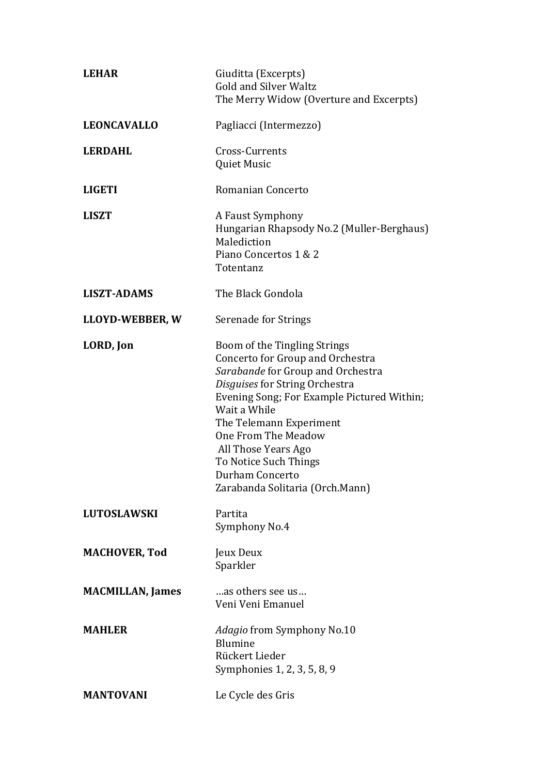| <b>LEHAR</b>            | Giuditta (Excerpts)<br><b>Gold and Silver Waltz</b><br>The Merry Widow (Overture and Excerpts)                                                                                                                                                                                                                                                                |
|-------------------------|---------------------------------------------------------------------------------------------------------------------------------------------------------------------------------------------------------------------------------------------------------------------------------------------------------------------------------------------------------------|
| <b>LEONCAVALLO</b>      | Pagliacci (Intermezzo)                                                                                                                                                                                                                                                                                                                                        |
| <b>LERDAHL</b>          | Cross-Currents<br>Quiet Music                                                                                                                                                                                                                                                                                                                                 |
| <b>LIGETI</b>           | <b>Romanian Concerto</b>                                                                                                                                                                                                                                                                                                                                      |
| <b>LISZT</b>            | A Faust Symphony<br>Hungarian Rhapsody No.2 (Muller-Berghaus)<br>Malediction<br>Piano Concertos 1 & 2<br>Totentanz                                                                                                                                                                                                                                            |
| <b>LISZT-ADAMS</b>      | The Black Gondola                                                                                                                                                                                                                                                                                                                                             |
| LLOYD-WEBBER, W         | Serenade for Strings                                                                                                                                                                                                                                                                                                                                          |
| LORD, Jon               | Boom of the Tingling Strings<br>Concerto for Group and Orchestra<br>Sarabande for Group and Orchestra<br>Disguises for String Orchestra<br>Evening Song; For Example Pictured Within;<br>Wait a While<br>The Telemann Experiment<br>One From The Meadow<br>All Those Years Ago<br>To Notice Such Things<br>Durham Concerto<br>Zarabanda Solitaria (Orch.Mann) |
| <b>LUTOSLAWSKI</b>      | Partita<br>Symphony No.4                                                                                                                                                                                                                                                                                                                                      |
| <b>MACHOVER, Tod</b>    | Jeux Deux<br>Sparkler                                                                                                                                                                                                                                                                                                                                         |
| <b>MACMILLAN, James</b> | as others see us<br>Veni Veni Emanuel                                                                                                                                                                                                                                                                                                                         |
| <b>MAHLER</b>           | Adagio from Symphony No.10<br>Blumine<br>Rückert Lieder<br>Symphonies 1, 2, 3, 5, 8, 9                                                                                                                                                                                                                                                                        |
| <b>MANTOVANI</b>        | Le Cycle des Gris                                                                                                                                                                                                                                                                                                                                             |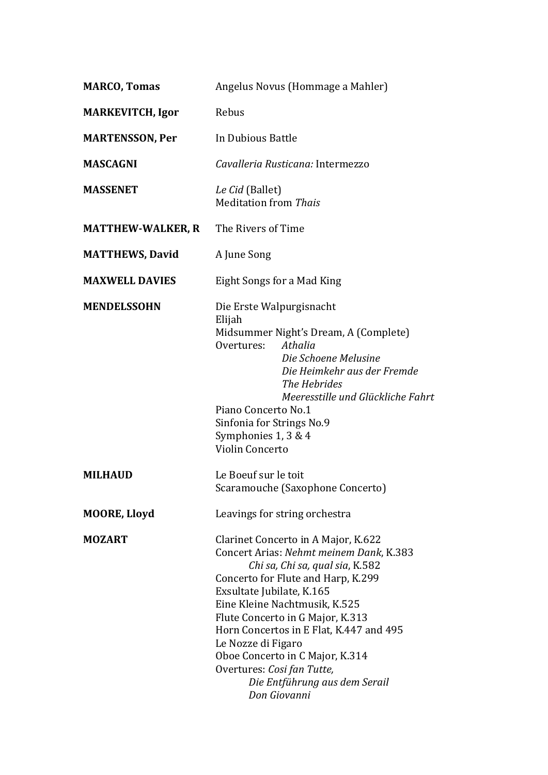| <b>MARCO, Tomas</b>      | Angelus Novus (Hommage a Mahler)                                                                                                                                                                                                                                                                                                                                                                                                             |
|--------------------------|----------------------------------------------------------------------------------------------------------------------------------------------------------------------------------------------------------------------------------------------------------------------------------------------------------------------------------------------------------------------------------------------------------------------------------------------|
| <b>MARKEVITCH, Igor</b>  | Rebus                                                                                                                                                                                                                                                                                                                                                                                                                                        |
| <b>MARTENSSON, Per</b>   | In Dubious Battle                                                                                                                                                                                                                                                                                                                                                                                                                            |
| <b>MASCAGNI</b>          | Cavalleria Rusticana: Intermezzo                                                                                                                                                                                                                                                                                                                                                                                                             |
| <b>MASSENET</b>          | Le Cid (Ballet)<br><b>Meditation from Thais</b>                                                                                                                                                                                                                                                                                                                                                                                              |
| <b>MATTHEW-WALKER, R</b> | The Rivers of Time                                                                                                                                                                                                                                                                                                                                                                                                                           |
| <b>MATTHEWS, David</b>   | A June Song                                                                                                                                                                                                                                                                                                                                                                                                                                  |
| <b>MAXWELL DAVIES</b>    | Eight Songs for a Mad King                                                                                                                                                                                                                                                                                                                                                                                                                   |
| <b>MENDELSSOHN</b>       | Die Erste Walpurgisnacht<br>Elijah<br>Midsummer Night's Dream, A (Complete)<br>Athalia<br>Overtures:<br>Die Schoene Melusine<br>Die Heimkehr aus der Fremde<br>The Hebrides<br>Meeresstille und Glückliche Fahrt<br>Piano Concerto No.1<br>Sinfonia for Strings No.9<br>Symphonies 1, 3 & 4<br>Violin Concerto                                                                                                                               |
| <b>MILHAUD</b>           | Le Boeuf sur le toit<br>Scaramouche (Saxophone Concerto)                                                                                                                                                                                                                                                                                                                                                                                     |
| <b>MOORE, Lloyd</b>      | Leavings for string orchestra                                                                                                                                                                                                                                                                                                                                                                                                                |
| <b>MOZART</b>            | Clarinet Concerto in A Major, K.622<br>Concert Arias: Nehmt meinem Dank, K.383<br>Chi sa, Chi sa, qual sia, K.582<br>Concerto for Flute and Harp, K.299<br>Exsultate Jubilate, K.165<br>Eine Kleine Nachtmusik, K.525<br>Flute Concerto in G Major, K.313<br>Horn Concertos in E Flat, K.447 and 495<br>Le Nozze di Figaro<br>Oboe Concerto in C Major, K.314<br>Overtures: Cosi fan Tutte,<br>Die Entführung aus dem Serail<br>Don Giovanni |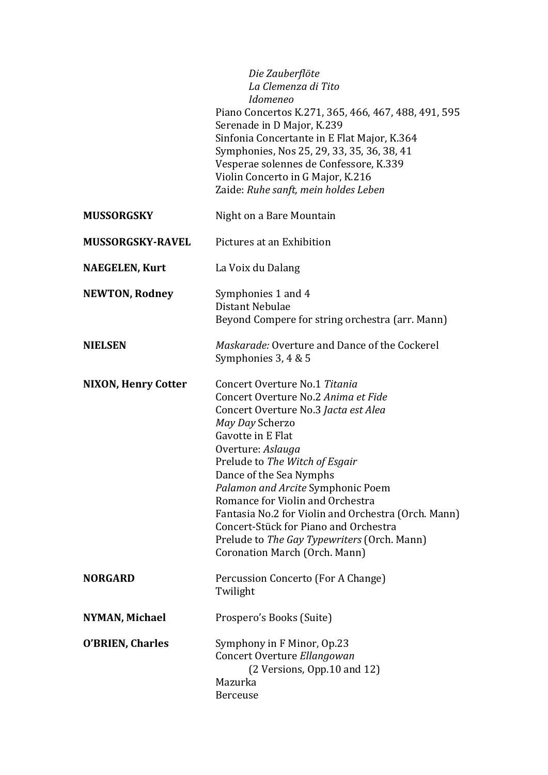|                            | Die Zauberflöte<br>La Clemenza di Tito<br><i>Idomeneo</i><br>Piano Concertos K.271, 365, 466, 467, 488, 491, 595<br>Serenade in D Major, K.239<br>Sinfonia Concertante in E Flat Major, K.364<br>Symphonies, Nos 25, 29, 33, 35, 36, 38, 41<br>Vesperae solennes de Confessore, K.339<br>Violin Concerto in G Major, K.216<br>Zaide: Ruhe sanft, mein holdes Leben                                                                                                                              |
|----------------------------|-------------------------------------------------------------------------------------------------------------------------------------------------------------------------------------------------------------------------------------------------------------------------------------------------------------------------------------------------------------------------------------------------------------------------------------------------------------------------------------------------|
| <b>MUSSORGSKY</b>          | Night on a Bare Mountain                                                                                                                                                                                                                                                                                                                                                                                                                                                                        |
| <b>MUSSORGSKY-RAVEL</b>    | Pictures at an Exhibition                                                                                                                                                                                                                                                                                                                                                                                                                                                                       |
| <b>NAEGELEN, Kurt</b>      | La Voix du Dalang                                                                                                                                                                                                                                                                                                                                                                                                                                                                               |
| <b>NEWTON, Rodney</b>      | Symphonies 1 and 4<br>Distant Nebulae<br>Beyond Compere for string orchestra (arr. Mann)                                                                                                                                                                                                                                                                                                                                                                                                        |
| <b>NIELSEN</b>             | Maskarade: Overture and Dance of the Cockerel<br>Symphonies 3, 4 & 5                                                                                                                                                                                                                                                                                                                                                                                                                            |
| <b>NIXON, Henry Cotter</b> | Concert Overture No.1 Titania<br>Concert Overture No.2 Anima et Fide<br>Concert Overture No.3 Jacta est Alea<br>May Day Scherzo<br>Gavotte in E Flat<br>Overture: Aslauga<br>Prelude to The Witch of Esgair<br>Dance of the Sea Nymphs<br>Palamon and Arcite Symphonic Poem<br>Romance for Violin and Orchestra<br>Fantasia No.2 for Violin and Orchestra (Orch. Mann)<br>Concert-Stück for Piano and Orchestra<br>Prelude to The Gay Typewriters (Orch. Mann)<br>Coronation March (Orch. Mann) |
| <b>NORGARD</b>             | Percussion Concerto (For A Change)<br>Twilight                                                                                                                                                                                                                                                                                                                                                                                                                                                  |
| NYMAN, Michael             | Prospero's Books (Suite)                                                                                                                                                                                                                                                                                                                                                                                                                                                                        |
| <b>O'BRIEN, Charles</b>    | Symphony in F Minor, Op.23<br>Concert Overture Ellangowan<br>(2 Versions, Opp.10 and 12)<br>Mazurka<br><b>Berceuse</b>                                                                                                                                                                                                                                                                                                                                                                          |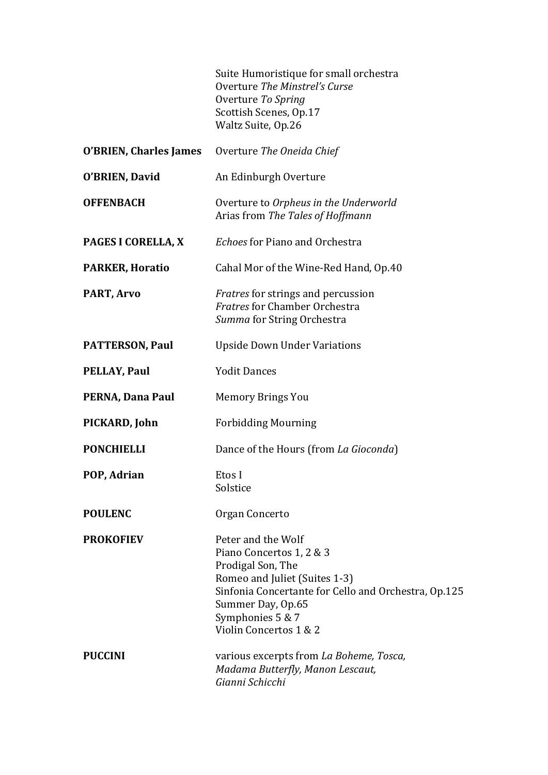Suite Humoristique for small orchestra Overture *The Minstrel's Curse* Overture To Spring Scottish Scenes, Op.17 Waltz Suite, Op.26

|                        | O'BRIEN, Charles James Overture The Oneida Chief                                                                                                                                                                                |
|------------------------|---------------------------------------------------------------------------------------------------------------------------------------------------------------------------------------------------------------------------------|
| O'BRIEN, David         | An Edinburgh Overture                                                                                                                                                                                                           |
| <b>OFFENBACH</b>       | Overture to Orpheus in the Underworld<br>Arias from The Tales of Hoffmann                                                                                                                                                       |
| PAGES I CORELLA, X     | <b>Echoes for Piano and Orchestra</b>                                                                                                                                                                                           |
| <b>PARKER, Horatio</b> | Cahal Mor of the Wine-Red Hand, Op.40                                                                                                                                                                                           |
| PART, Arvo             | <i>Fratres</i> for strings and percussion<br><b>Fratres for Chamber Orchestra</b><br>Summa for String Orchestra                                                                                                                 |
| <b>PATTERSON, Paul</b> | <b>Upside Down Under Variations</b>                                                                                                                                                                                             |
| <b>PELLAY, Paul</b>    | <b>Yodit Dances</b>                                                                                                                                                                                                             |
| PERNA, Dana Paul       | <b>Memory Brings You</b>                                                                                                                                                                                                        |
| PICKARD, John          | <b>Forbidding Mourning</b>                                                                                                                                                                                                      |
| <b>PONCHIELLI</b>      | Dance of the Hours (from La Gioconda)                                                                                                                                                                                           |
| POP, Adrian            | Etos I<br>Solstice                                                                                                                                                                                                              |
| <b>POULENC</b>         | Organ Concerto                                                                                                                                                                                                                  |
| <b>PROKOFIEV</b>       | Peter and the Wolf<br>Piano Concertos 1, 2 & 3<br>Prodigal Son, The<br>Romeo and Juliet (Suites 1-3)<br>Sinfonia Concertante for Cello and Orchestra, Op.125<br>Summer Day, Op.65<br>Symphonies 5 & 7<br>Violin Concertos 1 & 2 |
| <b>PUCCINI</b>         | various excerpts from La Boheme, Tosca,<br>Madama Butterfly, Manon Lescaut,<br>Gianni Schicchi                                                                                                                                  |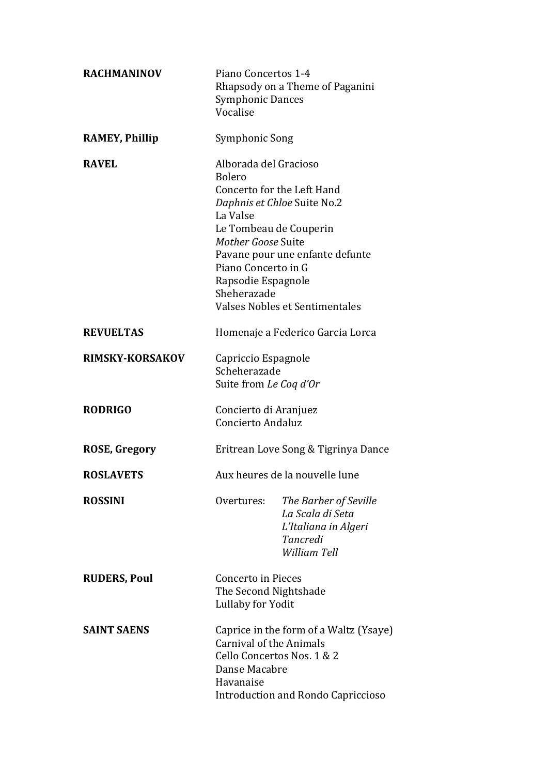| <b>RACHMANINOV</b>     | Piano Concertos 1-4<br><b>Symphonic Dances</b><br>Vocalise                                                                    | Rhapsody on a Theme of Paganini                                                                                                                          |
|------------------------|-------------------------------------------------------------------------------------------------------------------------------|----------------------------------------------------------------------------------------------------------------------------------------------------------|
| <b>RAMEY, Phillip</b>  | Symphonic Song                                                                                                                |                                                                                                                                                          |
| <b>RAVEL</b>           | Alborada del Gracioso<br>Bolero<br>La Valse<br>Mother Goose Suite<br>Piano Concerto in G<br>Rapsodie Espagnole<br>Sheherazade | Concerto for the Left Hand<br>Daphnis et Chloe Suite No.2<br>Le Tombeau de Couperin<br>Pavane pour une enfante defunte<br>Valses Nobles et Sentimentales |
| <b>REVUELTAS</b>       |                                                                                                                               | Homenaje a Federico Garcia Lorca                                                                                                                         |
| <b>RIMSKY-KORSAKOV</b> | Capriccio Espagnole<br>Scheherazade<br>Suite from Le Coq d'Or                                                                 |                                                                                                                                                          |
| <b>RODRIGO</b>         | Concierto di Aranjuez<br>Concierto Andaluz                                                                                    |                                                                                                                                                          |
| <b>ROSE, Gregory</b>   |                                                                                                                               | Eritrean Love Song & Tigrinya Dance                                                                                                                      |
| <b>ROSLAVETS</b>       |                                                                                                                               | Aux heures de la nouvelle lune                                                                                                                           |
| <b>ROSSINI</b>         | Overtures:                                                                                                                    | The Barber of Seville<br>La Scala di Seta<br>L'Italiana in Algeri<br>Tancredi<br>William Tell                                                            |
| <b>RUDERS, Poul</b>    | <b>Concerto in Pieces</b><br>The Second Nightshade<br>Lullaby for Yodit                                                       |                                                                                                                                                          |
| <b>SAINT SAENS</b>     | <b>Carnival of the Animals</b><br>Danse Macabre<br>Havanaise                                                                  | Caprice in the form of a Waltz (Ysaye)<br>Cello Concertos Nos. 1 & 2<br><b>Introduction and Rondo Capriccioso</b>                                        |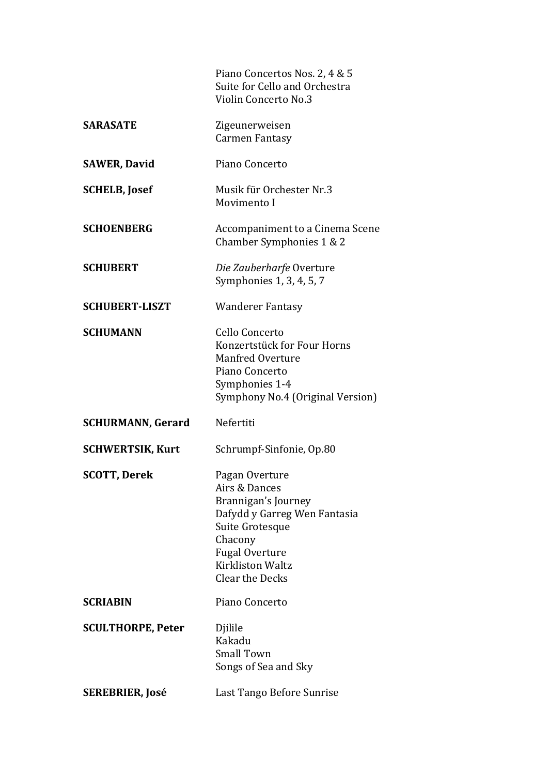Piano Concertos Nos. 2, 4 & 5 Suite for Cello and Orchestra Violin Concerto No.3

| <b>SARASATE</b>          | Zigeunerweisen<br><b>Carmen Fantasy</b>                                                                                                                                                     |
|--------------------------|---------------------------------------------------------------------------------------------------------------------------------------------------------------------------------------------|
| <b>SAWER, David</b>      | Piano Concerto                                                                                                                                                                              |
| <b>SCHELB, Josef</b>     | Musik für Orchester Nr.3<br>Movimento I                                                                                                                                                     |
| <b>SCHOENBERG</b>        | Accompaniment to a Cinema Scene<br>Chamber Symphonies 1 & 2                                                                                                                                 |
| <b>SCHUBERT</b>          | Die Zauberharfe Overture<br>Symphonies 1, 3, 4, 5, 7                                                                                                                                        |
| <b>SCHUBERT-LISZT</b>    | <b>Wanderer Fantasy</b>                                                                                                                                                                     |
| <b>SCHUMANN</b>          | Cello Concerto<br>Konzertstück for Four Horns<br><b>Manfred Overture</b><br>Piano Concerto<br>Symphonies 1-4<br>Symphony No.4 (Original Version)                                            |
| <b>SCHURMANN, Gerard</b> | Nefertiti                                                                                                                                                                                   |
| <b>SCHWERTSIK, Kurt</b>  | Schrumpf-Sinfonie, Op.80                                                                                                                                                                    |
| <b>SCOTT, Derek</b>      | Pagan Overture<br>Airs & Dances<br>Brannigan's Journey<br>Dafydd y Garreg Wen Fantasia<br>Suite Grotesque<br>Chacony<br><b>Fugal Overture</b><br>Kirkliston Waltz<br><b>Clear the Decks</b> |
| <b>SCRIABIN</b>          | Piano Concerto                                                                                                                                                                              |
| <b>SCULTHORPE, Peter</b> | Djilile<br>Kakadu<br><b>Small Town</b><br>Songs of Sea and Sky                                                                                                                              |
| <b>SEREBRIER, José</b>   | Last Tango Before Sunrise                                                                                                                                                                   |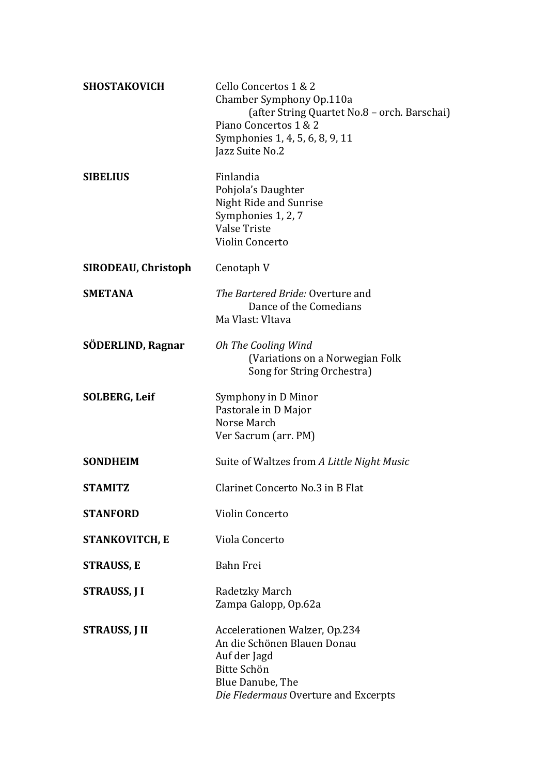| <b>SHOSTAKOVICH</b>   | Cello Concertos 1 & 2<br>Chamber Symphony Op.110a<br>(after String Quartet No.8 - orch. Barschai)<br>Piano Concertos 1 & 2<br>Symphonies 1, 4, 5, 6, 8, 9, 11<br>Jazz Suite No.2 |
|-----------------------|----------------------------------------------------------------------------------------------------------------------------------------------------------------------------------|
| <b>SIBELIUS</b>       | Finlandia<br>Pohjola's Daughter<br>Night Ride and Sunrise<br>Symphonies 1, 2, 7<br><b>Valse Triste</b><br>Violin Concerto                                                        |
| SIRODEAU, Christoph   | Cenotaph V                                                                                                                                                                       |
| <b>SMETANA</b>        | <i>The Bartered Bride: Overture and</i><br>Dance of the Comedians<br>Ma Vlast: Vltava                                                                                            |
| SÖDERLIND, Ragnar     | Oh The Cooling Wind<br>(Variations on a Norwegian Folk<br>Song for String Orchestra)                                                                                             |
| <b>SOLBERG, Leif</b>  | Symphony in D Minor<br>Pastorale in D Major<br>Norse March<br>Ver Sacrum (arr. PM)                                                                                               |
| <b>SONDHEIM</b>       | Suite of Waltzes from A Little Night Music                                                                                                                                       |
| <b>STAMITZ</b>        | Clarinet Concerto No.3 in B Flat                                                                                                                                                 |
| <b>STANFORD</b>       | Violin Concerto                                                                                                                                                                  |
| <b>STANKOVITCH, E</b> | Viola Concerto                                                                                                                                                                   |
| <b>STRAUSS, E</b>     | Bahn Frei                                                                                                                                                                        |
| STRAUSS, J I          | Radetzky March<br>Zampa Galopp, Op.62a                                                                                                                                           |
| <b>STRAUSS, J II</b>  | Accelerationen Walzer, Op.234<br>An die Schönen Blauen Donau<br>Auf der Jagd<br>Bitte Schön<br>Blue Danube, The<br>Die Fledermaus Overture and Excerpts                          |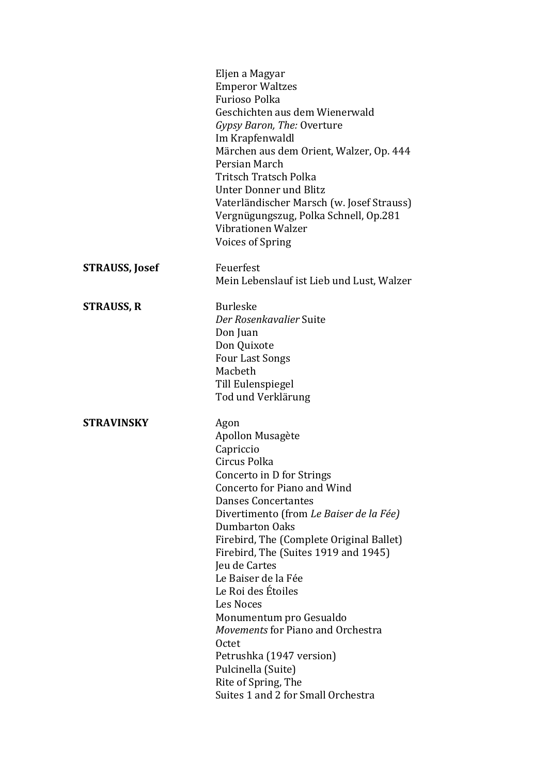|                       | Eljen a Magyar                            |
|-----------------------|-------------------------------------------|
|                       | <b>Emperor Waltzes</b>                    |
|                       | <b>Furioso Polka</b>                      |
|                       | Geschichten aus dem Wienerwald            |
|                       | Gypsy Baron, The: Overture                |
|                       | Im Krapfenwaldl                           |
|                       | Märchen aus dem Orient, Walzer, Op. 444   |
|                       | Persian March                             |
|                       | Tritsch Tratsch Polka                     |
|                       | Unter Donner und Blitz                    |
|                       | Vaterländischer Marsch (w. Josef Strauss) |
|                       | Vergnügungszug, Polka Schnell, Op.281     |
|                       | Vibrationen Walzer                        |
|                       | <b>Voices of Spring</b>                   |
| <b>STRAUSS, Josef</b> | Feuerfest                                 |
|                       | Mein Lebenslauf ist Lieb und Lust, Walzer |
|                       |                                           |
| <b>STRAUSS, R</b>     | <b>Burleske</b>                           |
|                       | Der Rosenkavalier Suite                   |
|                       | Don Juan                                  |
|                       | Don Quixote                               |
|                       | <b>Four Last Songs</b>                    |
|                       | Macbeth                                   |
|                       | Till Eulenspiegel                         |
|                       | Tod und Verklärung                        |
| <b>STRAVINSKY</b>     | Agon                                      |
|                       | Apollon Musagète                          |
|                       | Capriccio                                 |
|                       | Circus Polka                              |
|                       | Concerto in D for Strings                 |
|                       | Concerto for Piano and Wind               |
|                       | <b>Danses Concertantes</b>                |
|                       | Divertimento (from Le Baiser de la Fée)   |
|                       | <b>Dumbarton Oaks</b>                     |
|                       | Firebird, The (Complete Original Ballet)  |
|                       | Firebird, The (Suites 1919 and 1945)      |
|                       | Jeu de Cartes                             |
|                       | Le Baiser de la Fée                       |
|                       | Le Roi des Étoiles                        |
|                       | <b>Les Noces</b>                          |
|                       | Monumentum pro Gesualdo                   |
|                       | Movements for Piano and Orchestra         |
|                       | Octet                                     |
|                       | Petrushka (1947 version)                  |
|                       | Pulcinella (Suite)                        |
|                       | Rite of Spring, The                       |
|                       | Suites 1 and 2 for Small Orchestra        |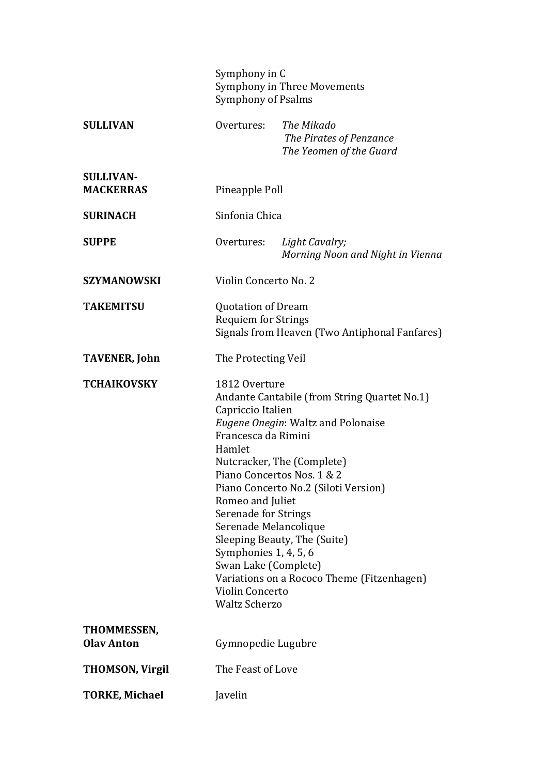|                                      | Symphony in C<br><b>Symphony of Psalms</b>                                                                                                                                                                                                                         | <b>Symphony in Three Movements</b>                                                                                                                                                                                                     |
|--------------------------------------|--------------------------------------------------------------------------------------------------------------------------------------------------------------------------------------------------------------------------------------------------------------------|----------------------------------------------------------------------------------------------------------------------------------------------------------------------------------------------------------------------------------------|
| <b>SULLIVAN</b>                      | Overtures:                                                                                                                                                                                                                                                         | The Mikado<br>The Pirates of Penzance<br>The Yeomen of the Guard                                                                                                                                                                       |
| <b>SULLIVAN-</b><br><b>MACKERRAS</b> | Pineapple Poll                                                                                                                                                                                                                                                     |                                                                                                                                                                                                                                        |
| <b>SURINACH</b>                      | Sinfonia Chica                                                                                                                                                                                                                                                     |                                                                                                                                                                                                                                        |
| <b>SUPPE</b>                         | Overtures:                                                                                                                                                                                                                                                         | Light Cavalry;<br>Morning Noon and Night in Vienna                                                                                                                                                                                     |
| <b>SZYMANOWSKI</b>                   | Violin Concerto No. 2                                                                                                                                                                                                                                              |                                                                                                                                                                                                                                        |
| <b>TAKEMITSU</b>                     | <b>Quotation of Dream</b><br><b>Requiem for Strings</b>                                                                                                                                                                                                            | Signals from Heaven (Two Antiphonal Fanfares)                                                                                                                                                                                          |
| <b>TAVENER, John</b>                 | The Protecting Veil                                                                                                                                                                                                                                                |                                                                                                                                                                                                                                        |
| <b>TCHAIKOVSKY</b>                   | 1812 Overture<br>Capriccio Italien<br>Francesca da Rimini<br>Hamlet<br>Piano Concertos Nos. 1 & 2<br>Romeo and Juliet<br>Serenade for Strings<br>Serenade Melancolique<br>Symphonies 1, 4, 5, 6<br>Swan Lake (Complete)<br>Violin Concerto<br><b>Waltz Scherzo</b> | Andante Cantabile (from String Quartet No.1)<br>Eugene Onegin: Waltz and Polonaise<br>Nutcracker, The (Complete)<br>Piano Concerto No.2 (Siloti Version)<br>Sleeping Beauty, The (Suite)<br>Variations on a Rococo Theme (Fitzenhagen) |
| THOMMESSEN,<br><b>Olav Anton</b>     | Gymnopedie Lugubre                                                                                                                                                                                                                                                 |                                                                                                                                                                                                                                        |
| <b>THOMSON, Virgil</b>               | The Feast of Love                                                                                                                                                                                                                                                  |                                                                                                                                                                                                                                        |
| <b>TORKE, Michael</b>                | Javelin                                                                                                                                                                                                                                                            |                                                                                                                                                                                                                                        |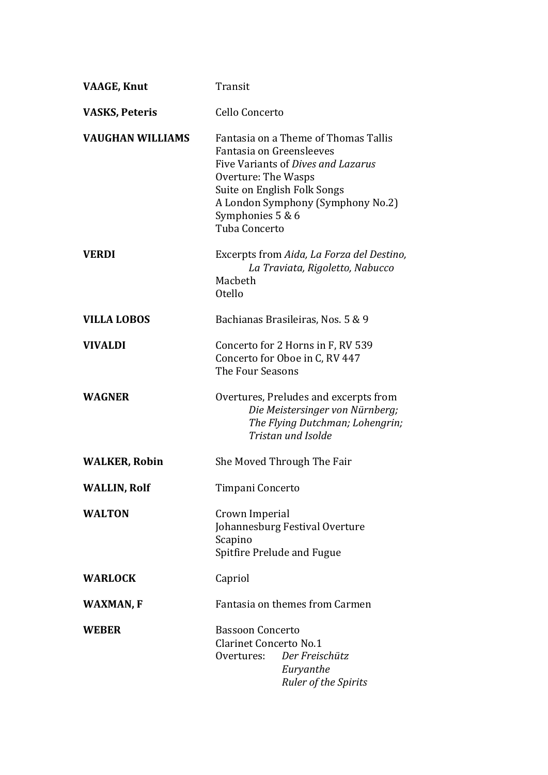| <b>VAAGE, Knut</b>      | Transit                                                                                                                                                                                                                                |
|-------------------------|----------------------------------------------------------------------------------------------------------------------------------------------------------------------------------------------------------------------------------------|
| <b>VASKS, Peteris</b>   | Cello Concerto                                                                                                                                                                                                                         |
| <b>VAUGHAN WILLIAMS</b> | Fantasia on a Theme of Thomas Tallis<br>Fantasia on Greensleeves<br>Five Variants of Dives and Lazarus<br>Overture: The Wasps<br>Suite on English Folk Songs<br>A London Symphony (Symphony No.2)<br>Symphonies 5 & 6<br>Tuba Concerto |
| <b>VERDI</b>            | Excerpts from Aida, La Forza del Destino,<br>La Traviata, Rigoletto, Nabucco<br>Macbeth<br><b>Otello</b>                                                                                                                               |
| <b>VILLA LOBOS</b>      | Bachianas Brasileiras, Nos. 5 & 9                                                                                                                                                                                                      |
| <b>VIVALDI</b>          | Concerto for 2 Horns in F, RV 539<br>Concerto for Oboe in C, RV 447<br>The Four Seasons                                                                                                                                                |
| <b>WAGNER</b>           | Overtures, Preludes and excerpts from<br>Die Meistersinger von Nürnberg;<br>The Flying Dutchman; Lohengrin;<br>Tristan und Isolde                                                                                                      |
| <b>WALKER, Robin</b>    | She Moved Through The Fair                                                                                                                                                                                                             |
| <b>WALLIN, Rolf</b>     | Timpani Concerto                                                                                                                                                                                                                       |
| <b>WALTON</b>           | Crown Imperial<br>Johannesburg Festival Overture<br>Scapino<br><b>Spitfire Prelude and Fugue</b>                                                                                                                                       |
| <b>WARLOCK</b>          | Capriol                                                                                                                                                                                                                                |
| <b>WAXMAN, F</b>        | Fantasia on themes from Carmen                                                                                                                                                                                                         |
| <b>WEBER</b>            | <b>Bassoon Concerto</b><br><b>Clarinet Concerto No.1</b><br>Der Freischütz<br>Overtures:<br>Euryanthe<br><b>Ruler of the Spirits</b>                                                                                                   |